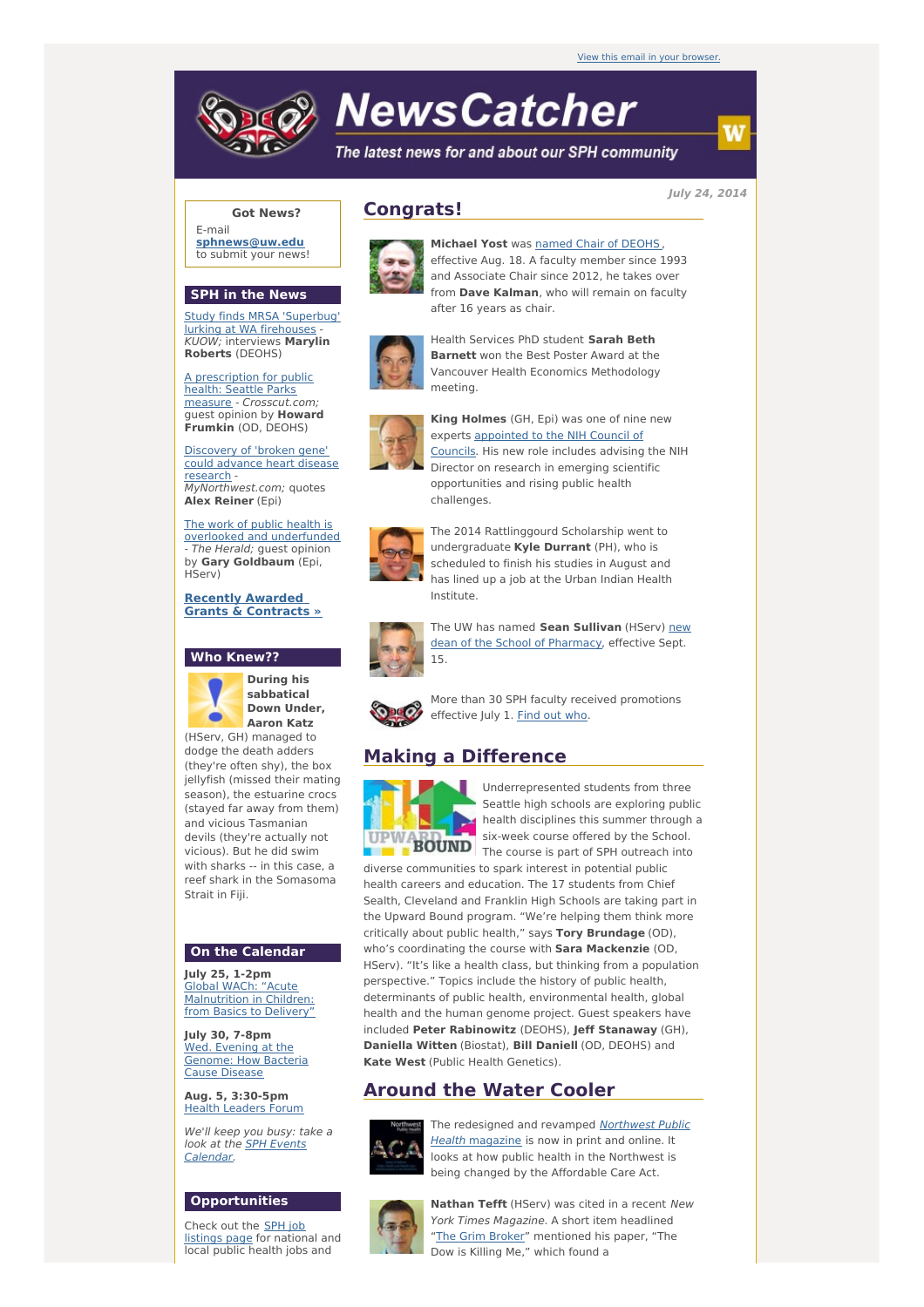# **NewsCatcher**

The latest news for and about our SPH community

**July 24, 2014**

## **Got News?**

E-mail **[sphnews@uw.edu](mailto:sphnews@uw.edu)** to submit your news!

### **SPH in the News**

Study finds MRSA 'Superbug' lurking at WA [firehouses](http://engage.washington.edu/site/R?i=793a-KT5hactnSZ2hrYx_g) KUOW; interviews **Marylin Roberts** (DEOHS)

A prescription for public health: Seattle Parks measure - [Crosscut.com](http://engage.washington.edu/site/R?i=inXhnEFAtQtcZItOfl2I9Q); guest opinion by **Howard Frumkin** (OD, DEOHS)

[Discovery](http://engage.washington.edu/site/R?i=XRLdaz89giewGoTJoeBJFQ) of 'broken gene' could advance heart disease research - MyNorthwest.com; quotes **Alex Reiner** (Epi)

The work of public health is overlooked and [underfunded](http://engage.washington.edu/site/R?i=LOti2t7MX0aJsa1JJb8P_w) The Herald; guest opinion by **Gary Goldbaum** (Epi, HServ)

**Recently Awarded Grants & [Contracts](http://engage.washington.edu/site/R?i=Pacau_1usdEfRex-vClLBQ) »**

#### **Who Knew??**



**During his sabbatical Down Under, Aaron Katz**

(HServ, GH) managed to dodge the death adders (they're often shy), the box jellyfish (missed their mating season), the estuarine crocs (stayed far away from them) and vicious Tasmanian devils (they're actually not vicious). But he did swim with sharks -- in this case, a reef shark in the Somasoma Strait in Fiji.

#### **On the Calendar**

**July 25, 1-2pm** Global WACh: "Acute [Malnutrition](http://engage.washington.edu/site/R?i=sRbsrNSCoTVXc5BohSpxgw) in Children: from Basics to Delivery"

**July 30, 7-8pm** Wed. Evening at the [Genome:](http://engage.washington.edu/site/R?i=MQXuHajMsb6d0okI5dd1ew) How Bacteria Cause Disease

**Aug. 5, 3:30-5pm** Health [Leaders](http://engage.washington.edu/site/R?i=1sh8t4b4hCNJ0R1To0Re-A) Forum

We'll keep you busy: take a look at the **SPH Events** [Calendar.](http://engage.washington.edu/site/R?i=NBT-3wN5Ydt3r20La0PCuQ)

## **Opportunities**

Check out the SPH job [listings](http://engage.washington.edu/site/R?i=T19x7L7w3xlfcuBGUT9Orw) page for national and local public health jobs and

# **Congrats!**



**Michael Yost** was named Chair of [DEOHS](http://engage.washington.edu/site/R?i=s7k35mMRJqyHUa_YNgi8pg) , effective Aug. 18. A faculty member since 1993 and Associate Chair since 2012, he takes over from **Dave Kalman**, who will remain on faculty after 16 years as chair.



Health Services PhD student **Sarah Beth Barnett** won the Best Poster Award at the Vancouver Health Economics Methodology meeting.



**King Holmes** (GH, Epi) was one of nine new experts [appointed](http://engage.washington.edu/site/R?i=M6PINMlV3ML5v2cIbKXcWQ) to the NIH Council of Councils. His new role includes advising the NIH Director on research in emerging scientific opportunities and rising public health challenges.



The 2014 Rattlinggourd Scholarship went to undergraduate **Kyle Durrant** (PH), who is scheduled to finish his studies in August and has lined up a job at the Urban Indian Health Institute.



The UW has named **Sean Sullivan** (HServ) new dean of the School of [Pharmacy,](http://engage.washington.edu/site/R?i=thdaQ-o2e9XHLbrtz4kckA) effective Sept. 15.



More than 30 SPH faculty received promotions effective July 1. [Find](http://engage.washington.edu/site/R?i=XRJx_V01HRriA11EF1g5eg) out [who](http://engage.washington.edu/site/R?i=aVlwmHFvxncwvpCJy2SGcw).

# **Making a Difference**



Underrepresented students from three Seattle high schools are exploring public health disciplines this summer through a six-week course offered by the School.  $\overline{BOUND}$  The course is part of SPH outreach into

diverse communities to spark interest in potential public health careers and education. The 17 students from Chief Sealth, Cleveland and Franklin High Schools are taking part in the Upward Bound program. "We're helping them think more critically about public health," says **Tory Brundage** (OD), who's coordinating the course with **Sara Mackenzie** (OD, HServ). "It's like a health class, but thinking from a population perspective." Topics include the history of public health, determinants of public health, environmental health, global health and the human genome project. Guest speakers have included **Peter Rabinowitz** (DEOHS), **Jeff Stanaway** (GH), **Daniella Witten** (Biostat), **Bill Daniell** (OD, DEOHS) and **Kate West** (Public Health Genetics).

## **Around the Water Cooler**



The [redesigned](http://engage.washington.edu/site/R?i=j3W3DxEVpwTdcdHpkujzDQ) and revamped Northwest Public Health magazine is now in print and online. It looks at how public health in the Northwest is being changed by the Affordable Care Act.



**Nathan Tefft** (HServ) was cited in a recent New York Times Magazine. A short item headlined "The Grim [Broker](http://engage.washington.edu/site/R?i=Nn-rtvGpOEqJM0ExlAeVRg)" mentioned his paper, "The Dow is Killing Me," which found a